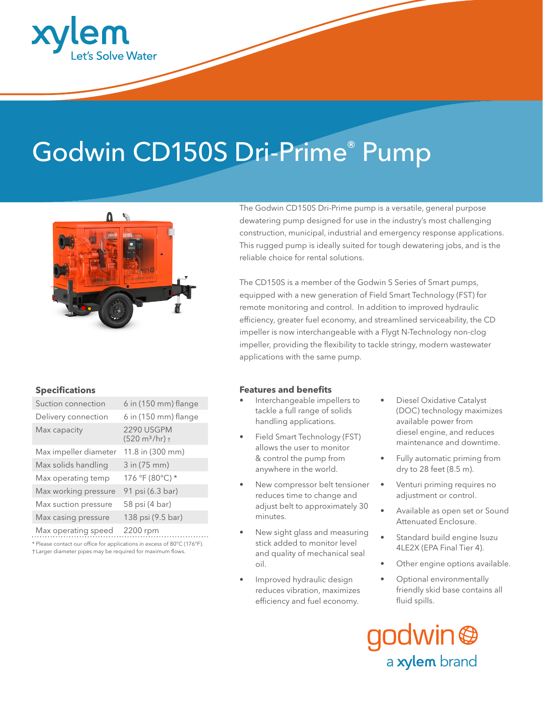

# Godwin CD150S Dri-Prime® Pump



# **Specifications**

| Suction connection    | $6$ in (150 mm) flange                        |
|-----------------------|-----------------------------------------------|
| Delivery connection   | $6$ in (150 mm) flange                        |
| Max capacity          | 2290 USGPM<br>$(520 \text{ m}^3/\text{hr}) +$ |
| Max impeller diameter | 11.8 in (300 mm)                              |
| Max solids handling   | 3 in (75 mm)                                  |
| Max operating temp    | 176 °F (80°C) *                               |
| Max working pressure  | 91 psi (6.3 bar)                              |
| Max suction pressure  | 58 psi (4 bar)                                |
| Max casing pressure   | 138 psi (9.5 bar)                             |
|                       |                                               |

Max operating speed 2200 rpm

\* Please contact our office for applications in excess of 80°C (176°F).

† Larger diameter pipes may be required for maximum flows.

The Godwin CD150S Dri-Prime pump is a versatile, general purpose dewatering pump designed for use in the industry's most challenging construction, municipal, industrial and emergency response applications. This rugged pump is ideally suited for tough dewatering jobs, and is the reliable choice for rental solutions.

The CD150S is a member of the Godwin S Series of Smart pumps, equipped with a new generation of Field Smart Technology (FST) for remote monitoring and control. In addition to improved hydraulic efficiency, greater fuel economy, and streamlined serviceability, the CD impeller is now interchangeable with a Flygt N-Technology non-clog impeller, providing the flexibility to tackle stringy, modern wastewater applications with the same pump.

# **Features and benefits**

- Interchangeable impellers to tackle a full range of solids handling applications.
- Field Smart Technology (FST) allows the user to monitor & control the pump from anywhere in the world.
- New compressor belt tensioner reduces time to change and adjust belt to approximately 30 minutes.
- New sight glass and measuring stick added to monitor level and quality of mechanical seal oil.
- Improved hydraulic design reduces vibration, maximizes efficiency and fuel economy.
- Diesel Oxidative Catalyst (DOC) technology maximizes available power from diesel engine, and reduces maintenance and downtime.
- Fully automatic priming from dry to 28 feet (8.5 m).
- Venturi priming requires no adjustment or control.
- Available as open set or Sound Attenuated Enclosure.
- Standard build engine Isuzu 4LE2X (EPA Final Tier 4).
- Other engine options available.
- • Optional environmentally friendly skid base contains all fluid spills.

dwin<sup>@</sup> a xylem brand